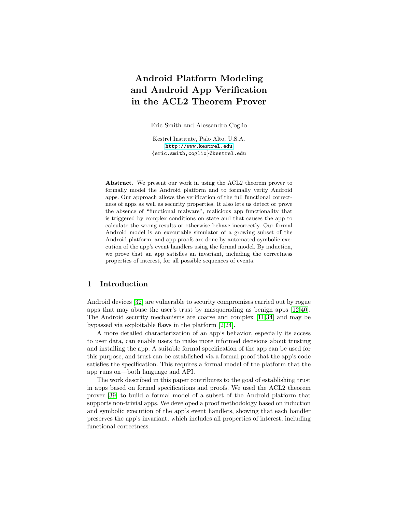# Android Platform Modeling and Android App Verification in the ACL2 Theorem Prover

Eric Smith and Alessandro Coglio

Kestrel Institute, Palo Alto, U.S.A. <http://www.kestrel.edu> {eric.smith,coglio}@kestrel.edu

Abstract. We present our work in using the ACL2 theorem prover to formally model the Android platform and to formally verify Android apps. Our approach allows the verification of the full functional correctness of apps as well as security properties. It also lets us detect or prove the absence of "functional malware", malicious app functionality that is triggered by complex conditions on state and that causes the app to calculate the wrong results or otherwise behave incorrectly. Our formal Android model is an executable simulator of a growing subset of the Android platform, and app proofs are done by automated symbolic execution of the app's event handlers using the formal model. By induction, we prove that an app satisfies an invariant, including the correctness properties of interest, for all possible sequences of events.

## <span id="page-0-0"></span>1 Introduction

Android devices [\[32\]](#page-18-0) are vulnerable to security compromises carried out by rogue apps that may abuse the user's trust by masquerading as benign apps [\[12,](#page-17-0)[40\]](#page-18-1). The Android security mechanisms are coarse and complex [\[11,](#page-17-1)[34\]](#page-18-2) and may be bypassed via exploitable flaws in the platform [\[2,](#page-16-0)[24\]](#page-18-3).

A more detailed characterization of an app's behavior, especially its access to user data, can enable users to make more informed decisions about trusting and installing the app. A suitable formal specification of the app can be used for this purpose, and trust can be established via a formal proof that the app's code satisfies the specification. This requires a formal model of the platform that the app runs on—both language and API.

The work described in this paper contributes to the goal of establishing trust in apps based on formal specifications and proofs. We used the ACL2 theorem prover [\[39\]](#page-18-4) to build a formal model of a subset of the Android platform that supports non-trivial apps. We developed a proof methodology based on induction and symbolic execution of the app's event handlers, showing that each handler preserves the app's invariant, which includes all properties of interest, including functional correctness.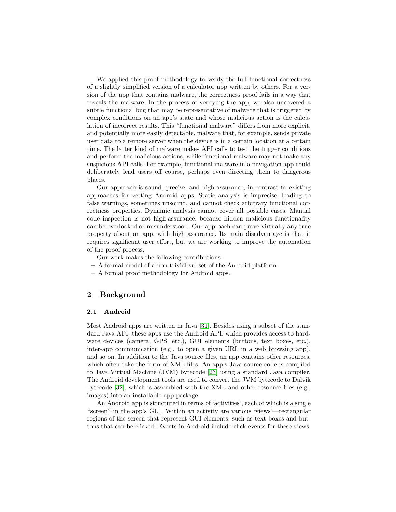We applied this proof methodology to verify the full functional correctness of a slightly simplified version of a calculator app written by others. For a version of the app that contains malware, the correctness proof fails in a way that reveals the malware. In the process of verifying the app, we also uncovered a subtle functional bug that may be representative of malware that is triggered by complex conditions on an app's state and whose malicious action is the calculation of incorrect results. This "functional malware" differs from more explicit, and potentially more easily detectable, malware that, for example, sends private user data to a remote server when the device is in a certain location at a certain time. The latter kind of malware makes API calls to test the trigger conditions and perform the malicious actions, while functional malware may not make any suspicious API calls. For example, functional malware in a navigation app could deliberately lead users off course, perhaps even directing them to dangerous places.

Our approach is sound, precise, and high-assurance, in contrast to existing approaches for vetting Android apps. Static analysis is imprecise, leading to false warnings, sometimes unsound, and cannot check arbitrary functional correctness properties. Dynamic analysis cannot cover all possible cases. Manual code inspection is not high-assurance, because hidden malicious functionality can be overlooked or misunderstood. Our approach can prove virtually any true property about an app, with high assurance. Its main disadvantage is that it requires significant user effort, but we are working to improve the automation of the proof process.

Our work makes the following contributions:

- A formal model of a non-trivial subset of the Android platform.
- A formal proof methodology for Android apps.

## <span id="page-1-0"></span>2 Background

### 2.1 Android

Most Android apps are written in Java [\[31\]](#page-18-5). Besides using a subset of the standard Java API, these apps use the Android API, which provides access to hardware devices (camera, GPS, etc.), GUI elements (buttons, text boxes, etc.), inter-app communication (e.g., to open a given URL in a web browsing app), and so on. In addition to the Java source files, an app contains other resources, which often take the form of XML files. An app's Java source code is compiled to Java Virtual Machine (JVM) bytecode [\[23\]](#page-17-2) using a standard Java compiler. The Android development tools are used to convert the JVM bytecode to Dalvik bytecode [\[32\]](#page-18-0), which is assembled with the XML and other resource files (e.g., images) into an installable app package.

An Android app is structured in terms of 'activities', each of which is a single "screen" in the app's GUI. Within an activity are various 'views'—rectangular regions of the screen that represent GUI elements, such as text boxes and buttons that can be clicked. Events in Android include click events for these views.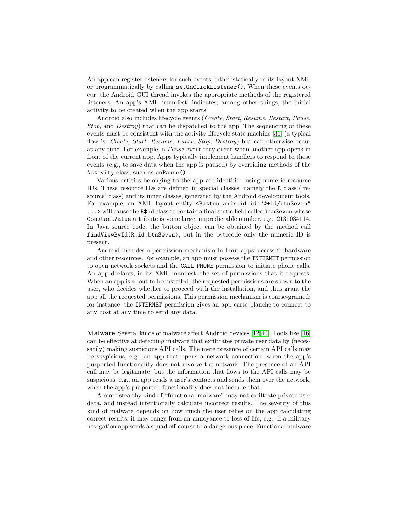An app can register listeners for such events, either statically in its layout XML or programmatically by calling setOnClickListener(). When these events occur, the Android GUI thread invokes the appropriate methods of the registered listeners. An app's XML 'manifest' indicates, among other things, the initial activity to be created when the app starts.

Android also includes lifecycle events (Create, Start, Resume, Restart, Pause, Stop, and Destroy) that can be dispatched to the app. The sequencing of these events must be consistent with the activity lifecycle state machine [\[31\]](#page-18-5) (a typical flow is: Create, Start, Resume, Pause, Stop, Destroy) but can otherwise occur at any time. For example, a Pause event may occur when another app opens in front of the current app. Apps typically implement handlers to respond to these events (e.g., to save data when the app is paused) by overriding methods of the Activity class, such as onPause().

Various entities belonging to the app are identified using numeric resource IDs. These resource IDs are defined in special classes, namely the R class ('resource' class) and its inner classes, generated by the Android development tools. For example, an XML layout entity <Button android:id="@+id/btnSeven" ...> will cause the R\$id class to contain a final static field called btnSeven whose ConstantValue attribute is some large, unpredictable number, e.g., 2131034114. In Java source code, the button object can be obtained by the method call findViewById(R.id.btnSeven), but in the bytecode only the numeric ID is present.

Android includes a permission mechanism to limit apps' access to hardware and other resources. For example, an app must possess the INTERNET permission to open network sockets and the CALL PHONE permission to initiate phone calls. An app declares, in its XML manifest, the set of permissions that it requests. When an app is about to be installed, the requested permissions are shown to the user, who decides whether to proceed with the installation, and thus grant the app all the requested permissions. This permission mechanism is coarse-grained: for instance, the INTERNET permission gives an app carte blanche to connect to any host at any time to send any data.

Malware Several kinds of malware affect Android devices [\[12,](#page-17-0)[40\]](#page-18-1). Tools like [\[16\]](#page-17-3) can be effective at detecting malware that exfiltrates private user data by (necessarily) making suspicious API calls. The mere presence of certain API calls may be suspicious, e.g., an app that opens a network connection, when the app's purported functionality does not involve the network. The presence of an API call may be legitimate, but the information that flows to the API calls may be suspicious, e.g., an app reads a user's contacts and sends them over the network, when the app's purported functionality does not include that.

A more stealthy kind of "functional malware" may not exfiltrate private user data, and instead intentionally calculate incorrect results. The severity of this kind of malware depends on how much the user relies on the app calculating correct results: it may range from an annoyance to loss of life, e.g., if a military navigation app sends a squad off-course to a dangerous place. Functional malware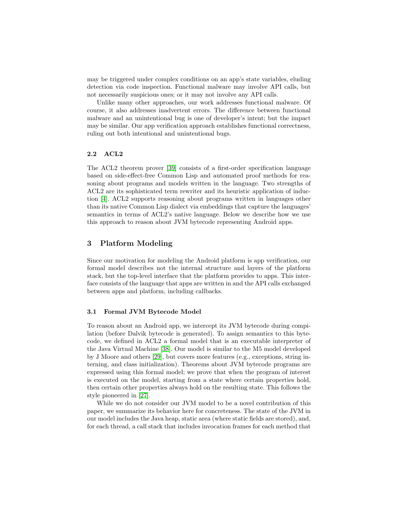may be triggered under complex conditions on an app's state variables, eluding detection via code inspection. Functional malware may involve API calls, but not necessarily suspicious ones; or it may not involve any API calls.

Unlike many other approaches, our work addresses functional malware. Of course, it also addresses inadvertent errors. The difference between functional malware and an unintentional bug is one of developer's intent; but the impact may be similar. Our app verification approach establishes functional correctness, ruling out both intentional and unintentional bugs.

## 2.2 ACL2

The ACL2 theorem prover [\[39\]](#page-18-4) consists of a first-order specification language based on side-effect-free Common Lisp and automated proof methods for reasoning about programs and models written in the language. Two strengths of ACL2 are its sophisticated term rewriter and its heuristic application of induction [\[4\]](#page-16-1). ACL2 supports reasoning about programs written in languages other than its native Common Lisp dialect via embeddings that capture the languages' semantics in terms of ACL2's native language. Below we describe how we use this approach to reason about JVM bytecode representing Android apps.

## 3 Platform Modeling

Since our motivation for modeling the Android platform is app verification, our formal model describes not the internal structure and layers of the platform stack, but the top-level interface that the platform provides to apps. This interface consists of the language that apps are written in and the API calls exchanged between apps and platform, including callbacks.

### 3.1 Formal JVM Bytecode Model

To reason about an Android app, we intercept its JVM bytecode during compilation (before Dalvik bytecode is generated). To assign semantics to this bytecode, we defined in ACL2 a formal model that is an executable interpreter of the Java Virtual Machine [\[38\]](#page-18-6). Our model is similar to the M5 model developed by J Moore and others [\[29\]](#page-18-7), but covers more features (e.g., exceptions, string interning, and class initialization). Theorems about JVM bytecode programs are expressed using this formal model; we prove that when the program of interest is executed on the model, starting from a state where certain properties hold, then certain other properties always hold on the resulting state. This follows the style pioneered in [\[27\]](#page-18-8).

While we do not consider our JVM model to be a novel contribution of this paper, we summarize its behavior here for concreteness. The state of the JVM in our model includes the Java heap, static area (where static fields are stored), and, for each thread, a call stack that includes invocation frames for each method that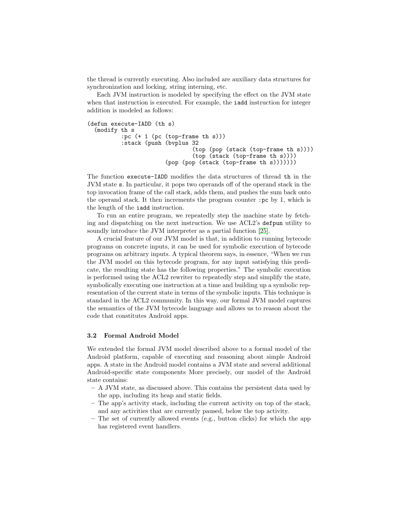the thread is currently executing. Also included are auxiliary data structures for synchronization and locking, string interning, etc.

Each JVM instruction is modeled by specifying the effect on the JVM state when that instruction is executed. For example, the iadd instruction for integer addition is modeled as follows:

```
(defun execute-IADD (th s)
(modify th s
         :pc (+ 1 (pc (top-frame th s)))
         :stack (push (bvplus 32
                               (top (pop (stack (top-frame th s))))
                               (top (stack (top-frame th s))))
                      (pop (pop (stack (top-frame th s)))))))
```
The function execute-IADD modifies the data structures of thread th in the JVM state s. In particular, it pops two operands off of the operand stack in the top invocation frame of the call stack, adds them, and pushes the sum back onto the operand stack. It then increments the program counter :  $pc$  by 1, which is the length of the iadd instruction.

To run an entire program, we repeatedly step the machine state by fetching and dispatching on the next instruction. We use ACL2's defpun utility to soundly introduce the JVM interpreter as a partial function [\[25\]](#page-18-9).

A crucial feature of our JVM model is that, in addition to running bytecode programs on concrete inputs, it can be used for symbolic execution of bytecode programs on arbitrary inputs. A typical theorem says, in essence, "When we run the JVM model on this bytecode program, for any input satisfying this predicate, the resulting state has the following properties." The symbolic execution is performed using the ACL2 rewriter to repeatedly step and simplify the state, symbolically executing one instruction at a time and building up a symbolic representation of the current state in terms of the symbolic inputs. This technique is standard in the ACL2 community. In this way, our formal JVM model captures the semantics of the JVM bytecode language and allows us to reason about the code that constitutes Android apps.

#### 3.2 Formal Android Model

We extended the formal JVM model described above to a formal model of the Android platform, capable of executing and reasoning about simple Android apps. A state in the Android model contains a JVM state and several additional Android-specific state components More precisely, our model of the Android state contains:

- A JVM state, as discussed above. This contains the persistent data used by the app, including its heap and static fields.
- The app's activity stack, including the current activity on top of the stack, and any activities that are currently paused, below the top activity.
- The set of currently allowed events (e.g., button clicks) for which the app has registered event handlers.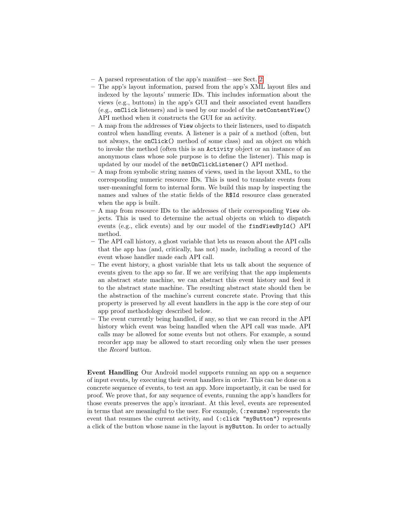- A parsed representation of the app's manifest—see Sect. [2.](#page-1-0)
- The app's layout information, parsed from the app's XML layout files and indexed by the layouts' numeric IDs. This includes information about the views (e.g., buttons) in the app's GUI and their associated event handlers (e.g., onClick listeners) and is used by our model of the setContentView() API method when it constructs the GUI for an activity.
- A map from the addresses of View objects to their listeners, used to dispatch control when handling events. A listener is a pair of a method (often, but not always, the onClick() method of some class) and an object on which to invoke the method (often this is an Activity object or an instance of an anonymous class whose sole purpose is to define the listener). This map is updated by our model of the setOnClickListener() API method.
- A map from symbolic string names of views, used in the layout XML, to the corresponding numeric resource IDs. This is used to translate events from user-meaningful form to internal form. We build this map by inspecting the names and values of the static fields of the R\$Id resource class generated when the app is built.
- A map from resource IDs to the addresses of their corresponding View objects. This is used to determine the actual objects on which to dispatch events (e.g., click events) and by our model of the findViewById() API method.
- The API call history, a ghost variable that lets us reason about the API calls that the app has (and, critically, has not) made, including a record of the event whose handler made each API call.
- The event history, a ghost variable that lets us talk about the sequence of events given to the app so far. If we are verifying that the app implements an abstract state machine, we can abstract this event history and feed it to the abstract state machine. The resulting abstract state should then be the abstraction of the machine's current concrete state. Proving that this property is preserved by all event handlers in the app is the core step of our app proof methodology described below.
- The event currently being handled, if any, so that we can record in the API history which event was being handled when the API call was made. API calls may be allowed for some events but not others. For example, a sound recorder app may be allowed to start recording only when the user presses the Record button.

Event Handling Our Android model supports running an app on a sequence of input events, by executing their event handlers in order. This can be done on a concrete sequence of events, to test an app. More importantly, it can be used for proof. We prove that, for any sequence of events, running the app's handlers for those events preserves the app's invariant. At this level, events are represented in terms that are meaningful to the user. For example, (:resume) represents the event that resumes the current activity, and (:click "myButton") represents a click of the button whose name in the layout is myButton. In order to actually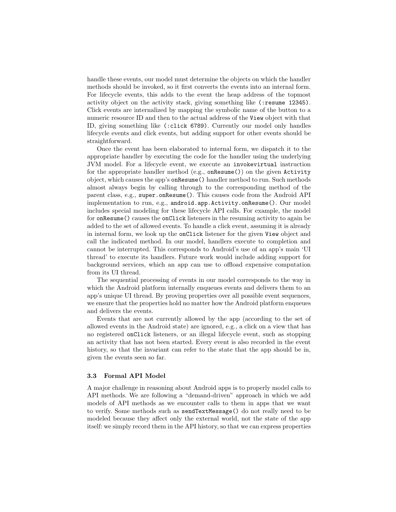handle these events, our model must determine the objects on which the handler methods should be invoked, so it first converts the events into an internal form. For lifecycle events, this adds to the event the heap address of the topmost activity object on the activity stack, giving something like (:resume 12345). Click events are internalized by mapping the symbolic name of the button to a numeric resource ID and then to the actual address of the View object with that ID, giving something like (:click 6789). Currently our model only handles lifecycle events and click events, but adding support for other events should be straightforward.

Once the event has been elaborated to internal form, we dispatch it to the appropriate handler by executing the code for the handler using the underlying JVM model. For a lifecycle event, we execute an invokevirtual instruction for the appropriate handler method (e.g., onResume()) on the given Activity object, which causes the app's onResume() handler method to run. Such methods almost always begin by calling through to the corresponding method of the parent class, e.g., super.onResume(). This causes code from the Android API implementation to run, e.g., android.app.Activity.onResume(). Our model includes special modeling for these lifecycle API calls. For example, the model for onResume() causes the onClick listeners in the resuming activity to again be added to the set of allowed events. To handle a click event, assuming it is already in internal form, we look up the onClick listener for the given View object and call the indicated method. In our model, handlers execute to completion and cannot be interrupted. This corresponds to Android's use of an app's main 'UI thread' to execute its handlers. Future work would include adding support for background services, which an app can use to offload expensive computation from its UI thread.

The sequential processing of events in our model corresponds to the way in which the Android platform internally enqueues events and delivers them to an app's unique UI thread. By proving properties over all possible event sequences, we ensure that the properties hold no matter how the Android platform enqueues and delivers the events.

Events that are not currently allowed by the app (according to the set of allowed events in the Android state) are ignored, e.g., a click on a view that has no registered onClick listeners, or an illegal lifecycle event, such as stopping an activity that has not been started. Every event is also recorded in the event history, so that the invariant can refer to the state that the app should be in, given the events seen so far.

### 3.3 Formal API Model

A major challenge in reasoning about Android apps is to properly model calls to API methods. We are following a "demand-driven" approach in which we add models of API methods as we encounter calls to them in apps that we want to verify. Some methods such as sendTextMessage() do not really need to be modeled because they affect only the external world, not the state of the app itself: we simply record them in the API history, so that we can express properties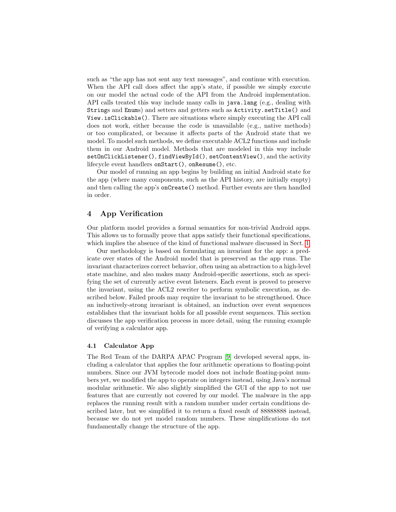such as "the app has not sent any text messages", and continue with execution. When the API call does affect the app's state, if possible we simply execute on our model the actual code of the API from the Android implementation. API calls treated this way include many calls in java.lang (e.g., dealing with Strings and Enums) and setters and getters such as Activity.setTitle() and View.isClickable(). There are situations where simply executing the API call does not work, either because the code is unavailable (e.g., native methods) or too complicated, or because it affects parts of the Android state that we model. To model such methods, we define executable ACL2 functions and include them in our Android model. Methods that are modeled in this way include setOnClickListener(), findViewById(), setContentView(), and the activity lifecycle event handlers onStart(), onResume(), etc.

Our model of running an app begins by building an initial Android state for the app (where many components, such as the API history, are initially empty) and then calling the app's onCreate() method. Further events are then handled in order.

## <span id="page-7-0"></span>4 App Verification

Our platform model provides a formal semantics for non-trivial Android apps. This allows us to formally prove that apps satisfy their functional specifications, which implies the absence of the kind of functional malware discussed in Sect. [1.](#page-0-0)

Our methodology is based on formulating an invariant for the app: a predicate over states of the Android model that is preserved as the app runs. The invariant characterizes correct behavior, often using an abstraction to a high-level state machine, and also makes many Android-specific assertions, such as specifying the set of currently active event listeners. Each event is proved to preserve the invariant, using the ACL2 rewriter to perform symbolic execution, as described below. Failed proofs may require the invariant to be strengthened. Once an inductively-strong invariant is obtained, an induction over event sequences establishes that the invariant holds for all possible event sequences. This section discusses the app verification process in more detail, using the running example of verifying a calculator app.

#### 4.1 Calculator App

The Red Team of the DARPA APAC Program [\[9\]](#page-17-4) developed several apps, including a calculator that applies the four arithmetic operations to floating-point numbers. Since our JVM bytecode model does not include floating-point numbers yet, we modified the app to operate on integers instead, using Java's normal modular arithmetic. We also slightly simplified the GUI of the app to not use features that are currently not covered by our model. The malware in the app replaces the running result with a random number under certain conditions described later, but we simplified it to return a fixed result of 88888888 instead, because we do not yet model random numbers. These simplifications do not fundamentally change the structure of the app.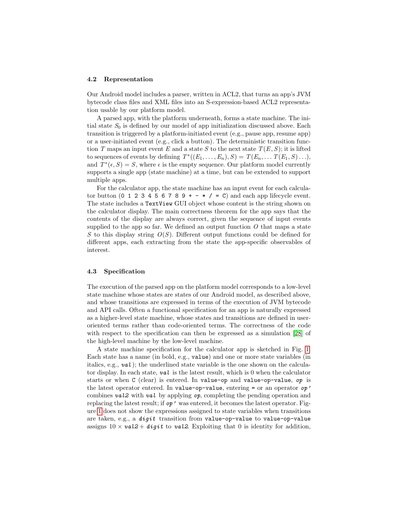#### <span id="page-8-0"></span>4.2 Representation

Our Android model includes a parser, written in ACL2, that turns an app's JVM bytecode class files and XML files into an S-expression-based ACL2 representation usable by our platform model.

A parsed app, with the platform underneath, forms a state machine. The initial state  $S_0$  is defined by our model of app initialization discussed above. Each transition is triggered by a platform-initiated event (e.g., pause app, resume app) or a user-initiated event (e.g., click a button). The deterministic transition function T maps an input event E and a state S to the next state  $T(E, S)$ ; it is lifted to sequences of events by defining  $T^*(E_1, \ldots, E_n), S) = T(E_n, \ldots T(E_1, S) \ldots),$ and  $T^*(\epsilon, S) = S$ , where  $\epsilon$  is the empty sequence. Our platform model currently supports a single app (state machine) at a time, but can be extended to support multiple apps.

For the calculator app, the state machine has an input event for each calculator button (0 1 2 3 4 5 6 7 8 9 + -  $*/ = C$ ) and each app lifecycle event. The state includes a TextView GUI object whose content is the string shown on the calculator display. The main correctness theorem for the app says that the contents of the display are always correct, given the sequence of input events supplied to the app so far. We defined an output function  $O$  that maps a state S to this display string  $O(S)$ . Different output functions could be defined for different apps, each extracting from the state the app-specific observables of interest.

### <span id="page-8-1"></span>4.3 Specification

The execution of the parsed app on the platform model corresponds to a low-level state machine whose states are states of our Android model, as described above, and whose transitions are expressed in terms of the execution of JVM bytecode and API calls. Often a functional specification for an app is naturally expressed as a higher-level state machine, whose states and transitions are defined in useroriented terms rather than code-oriented terms. The correctness of the code with respect to the specification can then be expressed as a simulation [\[28\]](#page-18-10) of the high-level machine by the low-level machine.

A state machine specification for the calculator app is sketched in Fig. [1.](#page-9-0) Each state has a name (in bold, e.g., value) and one or more state variables (in italics, e.g.,  $val$ ); the underlined state variable is the one shown on the calculator display. In each state, val is the latest result, which is 0 when the calculator starts or when C (clear) is entered. In value-op and value-op-value, op is the latest operator entered. In value-op-value, entering = or an operator  $op'$ combines val<sub>2</sub> with val by applying  $op$ , completing the pending operation and replacing the latest result; if  $op'$  was entered, it becomes the latest operator. Figure [1](#page-9-0) does not show the expressions assigned to state variables when transitions are taken, e.g., a digit transition from value-op-value to value-op-value assigns  $10 \times val2 + digit$  to val2. Exploiting that 0 is identity for addition,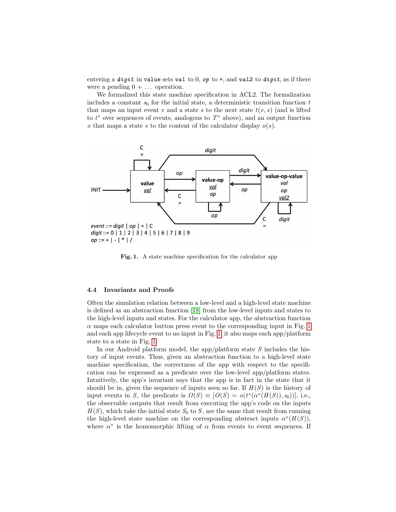entering a *digit* in value sets val to 0, op to +, and val2 to digit, as if there were a pending  $0 + \ldots$  operation.

We formalized this state machine specification in ACL2. The formalization includes a constant  $s_0$  for the initial state, a deterministic transition function t that maps an input event e and a state s to the next state  $t(e, s)$  (and is lifted to  $t^*$  over sequences of events, analogous to  $T^*$  above), and an output function  $\alpha$  that maps a state s to the content of the calculator display  $o(s)$ .



<span id="page-9-0"></span>Fig. 1. A state machine specification for the calculator app

#### <span id="page-9-1"></span>4.4 Invariants and Proofs

Often the simulation relation between a low-level and a high-level state machine is defined as an abstraction function [\[18\]](#page-17-5) from the low-level inputs and states to the high-level inputs and states. For the calculator app, the abstraction function  $\alpha$  maps each calculator button press event to the corresponding input in Fig. [1](#page-9-0) and each app lifecycle event to no input in Fig. [1;](#page-9-0) it also maps each app/platform state to a state in Fig. [1.](#page-9-0)

In our Android platform model, the app/platform state  $S$  includes the history of input events. Thus, given an abstraction function to a high-level state machine specification, the correctness of the app with respect to the specification can be expressed as a predicate over the low-level app/platform states. Intuitively, the app's invariant says that the app is in fact in the state that it should be in, given the sequence of inputs seen so far. If  $H(S)$  is the history of input events in S, the predicate is  $\Omega(S) \equiv [O(S) = o(t^*(\alpha^*(H(S)), s_0))]$ , i.e., the observable outputs that result from executing the app's code on the inputs  $H(S)$ , which take the initial state  $S_0$  to S, are the same that result from running the high-level state machine on the corresponding abstract inputs  $\alpha^*(H(S))$ , where  $\alpha^*$  is the homomorphic lifting of  $\alpha$  from events to event sequences. If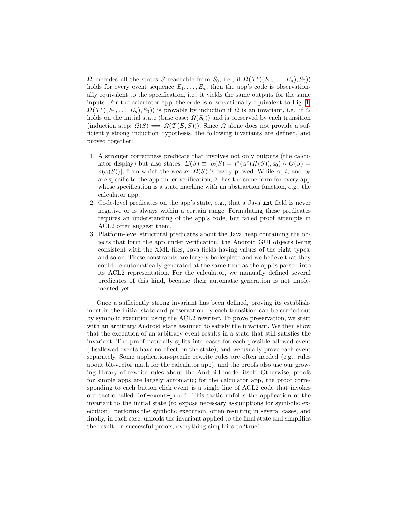$\Omega$  includes all the states S reachable from  $S_0$ , i.e., if  $\Omega(T^*((E_1,\ldots,E_n),S_0))$ holds for every event sequence  $E_1, \ldots, E_n$ , then the app's code is observationally equivalent to the specification, i.e., it yields the same outputs for the same inputs. For the calculator app, the code is observationally equivalent to Fig. [1.](#page-9-0)  $\Omega(T^*((E_1,\ldots,E_n),S_0))$  is provable by induction if  $\Omega$  is an invariant, i.e., if  $\Omega$ holds on the initial state (base case:  $\Omega(S_0)$ ) and is preserved by each transition (induction step:  $\Omega(S) \implies \Omega(T(E, S))$ ). Since  $\Omega$  alone does not provide a sufficiently strong induction hypothesis, the following invariants are defined, and proved together:

- 1. A stronger correctness predicate that involves not only outputs (the calculator display) but also states:  $\Sigma(S) \equiv [\alpha(S) = t^*(\alpha^*(H(S)), s_0) \wedge O(S) =$  $o(\alpha(S))$ , from which the weaker  $\Omega(S)$  is easily proved. While  $\alpha$ , t, and  $S_0$ are specific to the app under verification,  $\Sigma$  has the same form for every app whose specification is a state machine with an abstraction function, e.g., the calculator app.
- 2. Code-level predicates on the app's state, e.g., that a Java int field is never negative or is always within a certain range. Formulating these predicates requires an understanding of the app's code, but failed proof attempts in ACL2 often suggest them.
- 3. Platform-level structural predicates about the Java heap containing the objects that form the app under verification, the Android GUI objects being consistent with the XML files, Java fields having values of the right types, and so on. These constraints are largely boilerplate and we believe that they could be automatically generated at the same time as the app is parsed into its ACL2 representation. For the calculator, we manually defined several predicates of this kind, because their automatic generation is not implemented yet.

Once a sufficiently strong invariant has been defined, proving its establishment in the initial state and preservation by each transition can be carried out by symbolic execution using the ACL2 rewriter. To prove preservation, we start with an arbitrary Android state assumed to satisfy the invariant. We then show that the execution of an arbitrary event results in a state that still satisfies the invariant. The proof naturally splits into cases for each possible allowed event (disallowed events have no effect on the state), and we usually prove each event separately. Some application-specific rewrite rules are often needed (e.g., rules about bit-vector math for the calculator app), and the proofs also use our growing library of rewrite rules about the Android model itself. Otherwise, proofs for simple apps are largely automatic; for the calculator app, the proof corresponding to each button click event is a single line of ACL2 code that invokes our tactic called def-event-proof. This tactic unfolds the application of the invariant to the initial state (to expose necessary assumptions for symbolic execution), performs the symbolic execution, often resulting in several cases, and finally, in each case, unfolds the invariant applied to the final state and simplifies the result. In successful proofs, everything simplifies to 'true'.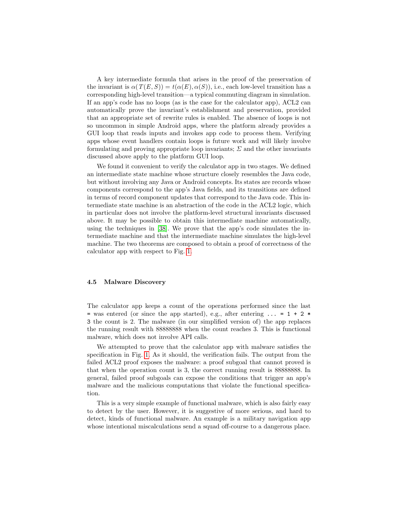A key intermediate formula that arises in the proof of the preservation of the invariant is  $\alpha(T(E, S)) = t(\alpha(E), \alpha(S))$ , i.e., each low-level transition has a corresponding high-level transition—a typical commuting diagram in simulation. If an app's code has no loops (as is the case for the calculator app), ACL2 can automatically prove the invariant's establishment and preservation, provided that an appropriate set of rewrite rules is enabled. The absence of loops is not so uncommon in simple Android apps, where the platform already provides a GUI loop that reads inputs and invokes app code to process them. Verifying apps whose event handlers contain loops is future work and will likely involve formulating and proving appropriate loop invariants;  $\Sigma$  and the other invariants discussed above apply to the platform GUI loop.

We found it convenient to verify the calculator app in two stages. We defined an intermediate state machine whose structure closely resembles the Java code, but without involving any Java or Android concepts. Its states are records whose components correspond to the app's Java fields, and its transitions are defined in terms of record component updates that correspond to the Java code. This intermediate state machine is an abstraction of the code in the ACL2 logic, which in particular does not involve the platform-level structural invariants discussed above. It may be possible to obtain this intermediate machine automatically, using the techniques in [\[38\]](#page-18-6). We prove that the app's code simulates the intermediate machine and that the intermediate machine simulates the high-level machine. The two theorems are composed to obtain a proof of correctness of the calculator app with respect to Fig. [1.](#page-9-0)

#### 4.5 Malware Discovery

The calculator app keeps a count of the operations performed since the last = was entered (or since the app started), e.g., after entering  $\dots$  = 1 + 2  $*$ 3 the count is 2. The malware (in our simplified version of) the app replaces the running result with 88888888 when the count reaches 3. This is functional malware, which does not involve API calls.

We attempted to prove that the calculator app with malware satisfies the specification in Fig. [1.](#page-9-0) As it should, the verification fails. The output from the failed ACL2 proof exposes the malware: a proof subgoal that cannot proved is that when the operation count is 3, the correct running result is 88888888. In general, failed proof subgoals can expose the conditions that trigger an app's malware and the malicious computations that violate the functional specification.

This is a very simple example of functional malware, which is also fairly easy to detect by the user. However, it is suggestive of more serious, and hard to detect, kinds of functional malware. An example is a military navigation app whose intentional miscalculations send a squad off-course to a dangerous place.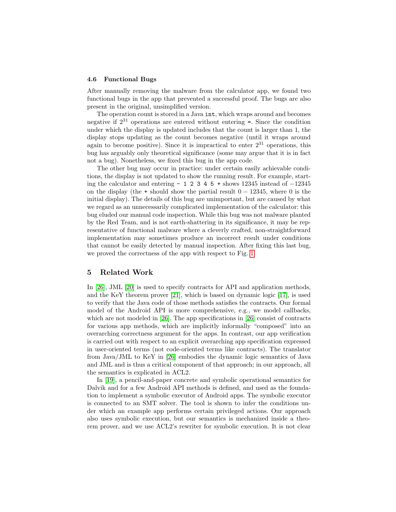#### 4.6 Functional Bugs

After manually removing the malware from the calculator app, we found two functional bugs in the app that prevented a successful proof. The bugs are also present in the original, unsimplified version.

The operation count is stored in a Java int, which wraps around and becomes negative if  $2^{31}$  operations are entered without entering  $\epsilon$ . Since the condition under which the display is updated includes that the count is larger than 1, the display stops updating as the count becomes negative (until it wraps around again to become positive). Since it is impractical to enter  $2^{31}$  operations, this bug has arguably only theoretical significance (some may argue that it is in fact not a bug). Nonetheless, we fixed this bug in the app code.

The other bug may occur in practice: under certain easily achievable conditions, the display is not updated to show the running result. For example, starting the calculator and entering - 1 2 3 4 5 + shows 12345 instead of −12345 on the display (the + should show the partial result  $0 - 12345$ , where 0 is the initial display). The details of this bug are unimportant, but are caused by what we regard as an unnecessarily complicated implementation of the calculator: this bug eluded our manual code inspection. While this bug was not malware planted by the Red Team, and is not earth-shattering in its significance, it may be representative of functional malware where a cleverly crafted, non-straightforward implementation may sometimes produce an incorrect result under conditions that cannot be easily detected by manual inspection. After fixing this last bug, we proved the correctness of the app with respect to Fig. [1.](#page-9-0)

## 5 Related Work

In [\[26\]](#page-18-11), JML [\[20\]](#page-17-6) is used to specify contracts for API and application methods, and the KeY theorem prover [\[21\]](#page-17-7), which is based on dynamic logic [\[17\]](#page-17-8), is used to verify that the Java code of those methods satisfies the contracts. Our formal model of the Android API is more comprehensive, e.g., we model callbacks, which are not modeled in [\[26\]](#page-18-11). The app specifications in [26] consist of contracts for various app methods, which are implicitly informally "composed" into an overarching correctness argument for the apps. In contrast, our app verification is carried out with respect to an explicit overarching app specification expressed in user-oriented terms (not code-oriented terms like contracts). The translator from Java/JML to KeY in [\[26\]](#page-18-11) embodies the dynamic logic semantics of Java and JML and is thus a critical component of that approach; in our approach, all the semantics is explicated in ACL2.

In [\[19\]](#page-17-9), a pencil-and-paper concrete and symbolic operational semantics for Dalvik and for a few Android API methods is defined, and used as the foundation to implement a symbolic executor of Android apps. The symbolic executor is connected to an SMT solver. The tool is shown to infer the conditions under which an example app performs certain privileged actions. Our approach also uses symbolic execution, but our semantics is mechanized inside a theorem prover, and we use ACL2's rewriter for symbolic execution. It is not clear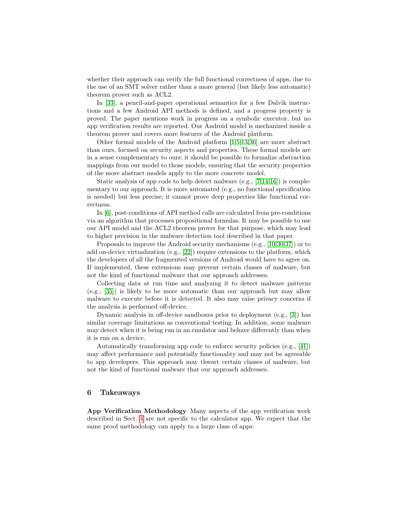whether their approach can verify the full functional correctness of apps, due to the use of an SMT solver rather than a more general (but likely less automatic) theorem prover such as ACL2.

In [\[33\]](#page-18-12), a pencil-and-paper operational semantics for a few Dalvik instructions and a few Android API methods is defined, and a progress property is proved. The paper mentions work in progress on a symbolic executor, but no app verification results are reported. Our Android model is mechanized inside a theorem prover and covers more features of the Android platform.

Other formal models of the Android platform [\[1,](#page-16-2)[5,](#page-17-10)[13,](#page-17-11)[36\]](#page-18-13) are more abstract than ours, focused on security aspects and properties. These formal models are in a sense complementary to ours: it should be possible to formalize abstraction mappings from our model to those models, ensuring that the security properties of the more abstract models apply to the more concrete model.

Static analysis of app code to help detect malware (e.g., [\[7,](#page-17-12)[14,](#page-17-13)[16\]](#page-17-3)) is complementary to our approach. It is more automated (e.g., no functional specification is needed) but less precise; it cannot prove deep properties like functional correctness.

In [\[6\]](#page-17-14), post-conditions of API method calls are calculated from pre-conditions via an algorithm that processes propositional formulas. It may be possible to use our API model and the ACL2 theorem prover for that purpose, which may lead to higher precision in the malware detection tool described in that paper.

Proposals to improve the Android security mechanisms (e.g., [\[10,](#page-17-15)[30,](#page-18-14)[37\]](#page-18-15)) or to add on-device virtualization (e.g., [\[22\]](#page-17-16)) require extensions to the platform, which the developers of all the fragmented versions of Android would have to agree on. If implemented, these extensions may prevent certain classes of malware, but not the kind of functional malware that our approach addresses.

Collecting data at run time and analyzing it to detect malware patterns (e.g., [\[35\]](#page-18-16)) is likely to be more automatic than our approach but may allow malware to execute before it is detected. It also may raise privacy concerns if the analysis is performed off-device.

Dynamic analysis in off-device sandboxes prior to deployment (e.g., [\[3\]](#page-16-3)) has similar coverage limitations as conventional testing. In addition, some malware may detect when it is being run in an emulator and behave differently than when it is run on a device.

Automatically transforming app code to enforce security policies (e.g., [\[41\]](#page-18-17)) may affect performance and potentially functionality and may not be agreeable to app developers. This approach may thwart certain classes of malware, but not the kind of functional malware that our approach addresses.

## 6 Takeaways

App Verification Methodology Many aspects of the app verification work described in Sect. [4](#page-7-0) are not specific to the calculator app. We expect that the same proof methodology can apply to a large class of apps: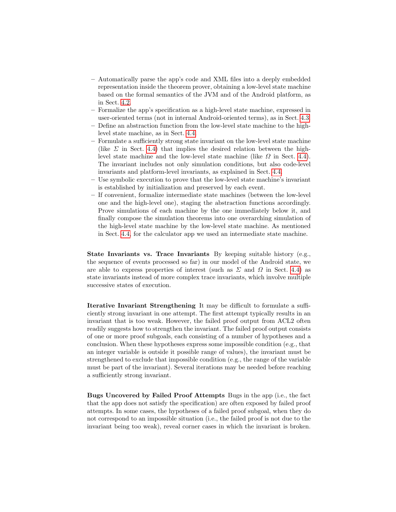- Automatically parse the app's code and XML files into a deeply embedded representation inside the theorem prover, obtaining a low-level state machine based on the formal semantics of the JVM and of the Android platform, as in Sect. [4.2.](#page-8-0)
- Formalize the app's specification as a high-level state machine, expressed in user-oriented terms (not in internal Android-oriented terms), as in Sect. [4.3.](#page-8-1)
- Define an abstraction function from the low-level state machine to the highlevel state machine, as in Sect. [4.4.](#page-9-1)
- Formulate a sufficiently strong state invariant on the low-level state machine (like  $\Sigma$  in Sect. [4.4\)](#page-9-1) that implies the desired relation between the highlevel state machine and the low-level state machine (like Ω in Sect. [4.4\)](#page-9-1). The invariant includes not only simulation conditions, but also code-level invariants and platform-level invariants, as explained in Sect. [4.4.](#page-9-1)
- Use symbolic execution to prove that the low-level state machine's invariant is established by initialization and preserved by each event.
- If convenient, formalize intermediate state machines (between the low-level one and the high-level one), staging the abstraction functions accordingly. Prove simulations of each machine by the one immediately below it, and finally compose the simulation theorems into one overarching simulation of the high-level state machine by the low-level state machine. As mentioned in Sect. [4.4,](#page-9-1) for the calculator app we used an intermediate state machine.

**State Invariants vs. Trace Invariants** By keeping suitable history  $(e.g.,)$ the sequence of events processed so far) in our model of the Android state, we are able to express properties of interest (such as  $\Sigma$  and  $\Omega$  in Sect. [4.4\)](#page-9-1) as state invariants instead of more complex trace invariants, which involve multiple successive states of execution.

Iterative Invariant Strengthening It may be difficult to formulate a sufficiently strong invariant in one attempt. The first attempt typically results in an invariant that is too weak. However, the failed proof output from ACL2 often readily suggests how to strengthen the invariant. The failed proof output consists of one or more proof subgoals, each consisting of a number of hypotheses and a conclusion. When these hypotheses express some impossible condition (e.g., that an integer variable is outside it possible range of values), the invariant must be strengthened to exclude that impossible condition (e.g., the range of the variable must be part of the invariant). Several iterations may be needed before reaching a sufficiently strong invariant.

Bugs Uncovered by Failed Proof Attempts Bugs in the app (i.e., the fact that the app does not satisfy the specification) are often exposed by failed proof attempts. In some cases, the hypotheses of a failed proof subgoal, when they do not correspond to an impossible situation (i.e., the failed proof is not due to the invariant being too weak), reveal corner cases in which the invariant is broken.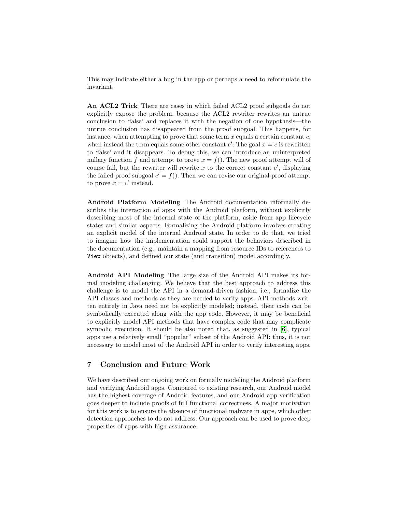This may indicate either a bug in the app or perhaps a need to reformulate the invariant.

An ACL2 Trick There are cases in which failed ACL2 proof subgoals do not explicitly expose the problem, because the ACL2 rewriter rewrites an untrue conclusion to 'false' and replaces it with the negation of one hypothesis—the untrue conclusion has disappeared from the proof subgoal. This happens, for instance, when attempting to prove that some term  $x$  equals a certain constant  $c$ , when instead the term equals some other constant  $c'$ : The goal  $x = c$  is rewritten to 'false' and it disappears. To debug this, we can introduce an uninterpreted nullary function f and attempt to prove  $x = f(.)$ . The new proof attempt will of course fail, but the rewriter will rewrite  $x$  to the correct constant  $c'$ , displaying the failed proof subgoal  $c' = f()$ . Then we can revise our original proof attempt to prove  $x = c'$  instead.

Android Platform Modeling The Android documentation informally describes the interaction of apps with the Android platform, without explicitly describing most of the internal state of the platform, aside from app lifecycle states and similar aspects. Formalizing the Android platform involves creating an explicit model of the internal Android state. In order to do that, we tried to imagine how the implementation could support the behaviors described in the documentation (e.g., maintain a mapping from resource IDs to references to View objects), and defined our state (and transition) model accordingly.

Android API Modeling The large size of the Android API makes its formal modeling challenging. We believe that the best approach to address this challenge is to model the API in a demand-driven fashion, i.e., formalize the API classes and methods as they are needed to verify apps. API methods written entirely in Java need not be explicitly modeled; instead, their code can be symbolically executed along with the app code. However, it may be beneficial to explicitly model API methods that have complex code that may complicate symbolic execution. It should be also noted that, as suggested in [\[6\]](#page-17-14), typical apps use a relatively small "popular" subset of the Android API: thus, it is not necessary to model most of the Android API in order to verify interesting apps.

## 7 Conclusion and Future Work

We have described our ongoing work on formally modeling the Android platform and verifying Android apps. Compared to existing research, our Android model has the highest coverage of Android features, and our Android app verification goes deeper to include proofs of full functional correctness. A major motivation for this work is to ensure the absence of functional malware in apps, which other detection approaches to do not address. Our approach can be used to prove deep properties of apps with high assurance.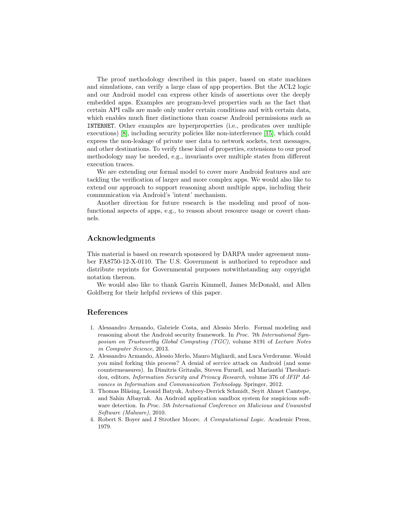The proof methodology described in this paper, based on state machines and simulations, can verify a large class of app properties. But the ACL2 logic and our Android model can express other kinds of assertions over the deeply embedded apps. Examples are program-level properties such as the fact that certain API calls are made only under certain conditions and with certain data, which enables much finer distinctions than coarse Android permissions such as INTERNET. Other examples are hyperproperties (i.e., predicates over multiple executions) [\[8\]](#page-17-17), including security policies like non-interference [\[15\]](#page-17-18), which could express the non-leakage of private user data to network sockets, text messages, and other destinations. To verify these kind of properties, extensions to our proof methodology may be needed, e.g., invariants over multiple states from different execution traces.

We are extending our formal model to cover more Android features and are tackling the verification of larger and more complex apps. We would also like to extend our approach to support reasoning about multiple apps, including their communication via Android's 'intent' mechanism.

Another direction for future research is the modeling and proof of nonfunctional aspects of apps, e.g., to reason about resource usage or covert channels.

## Acknowledgments

This material is based on research sponsored by DARPA under agreement number FA8750-12-X-0110. The U.S. Government is authorized to reproduce and distribute reprints for Governmental purposes notwithstanding any copyright notation thereon.

We would also like to thank Garrin Kimmell, James McDonald, and Allen Goldberg for their helpful reviews of this paper.

## References

- <span id="page-16-2"></span>1. Alessandro Armando, Gabriele Costa, and Alessio Merlo. Formal modeling and reasoning about the Android security framework. In Proc. 7th International Symposium on Trustworthy Global Computing (TGC), volume 8191 of Lecture Notes in Computer Science, 2013.
- <span id="page-16-0"></span>2. Alessandro Armando, Alessio Merlo, Mauro Migliardi, and Luca Verderame. Would you mind forking this process? A denial of service attack on Android (and some countermeasures). In Dimitris Gritzalis, Steven Furnell, and Marianthi Theoharidou, editors, Information Security and Privacy Research, volume 376 of IFIP Advances in Information and Communication Technology. Springer, 2012.
- <span id="page-16-3"></span>3. Thomas Bläsing, Leonid Batyuk, Aubrey-Derrick Schmidt, Seyit Ahmet Camtepe, and Sahin Albayrak. An Android application sandbox system for suspicious software detection. In Proc. 5th International Conference on Malicious and Unwanted Software (Malware), 2010.
- <span id="page-16-1"></span>4. Robert S. Boyer and J Strother Moore. A Computational Logic. Academic Press, 1979.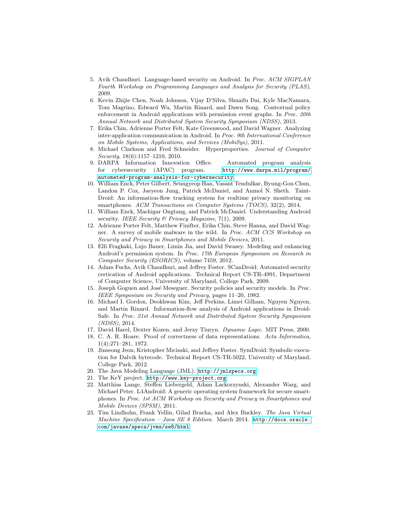- <span id="page-17-10"></span>5. Avik Chaudhuri. Language-based security on Android. In Proc. ACM SIGPLAN Fourth Workshop on Programming Languages and Analysis for Security (PLAS), 2009.
- <span id="page-17-14"></span>6. Kevin Zhijie Chen, Noah Johnson, Vijay D'Silva, Shuaifu Dai, Kyle MacNamara, Tom Magrino, Edward Wu, Martin Rinard, and Dawn Song. Contextual policy enforcement in Android applications with permission event graphs. In Proc. 20th Annual Network and Distributed System Security Symposium (NDSS), 2013.
- <span id="page-17-12"></span>7. Erika Chin, Adrienne Porter Felt, Kate Greenwood, and David Wagner. Analyzing inter-application communication in Android. In Proc. 9th International Conference on Mobile Systems, Applications, and Services (MobiSys), 2011.
- <span id="page-17-17"></span>8. Michael Clarkson and Fred Schneider. Hyperproperties. Journal of Computer Security, 18(6):1157–1210, 2010.
- <span id="page-17-4"></span>9. DARPA Information Innovation Office. Automated program analysis for cybersecurity (APAC) program. [http://www.darpa.mil/program/](http://www.darpa.mil/program/automated-program-analysis-for-cybersecurity) [automated-program-analysis-for-cybersecurity](http://www.darpa.mil/program/automated-program-analysis-for-cybersecurity).
- <span id="page-17-15"></span>10. William Enck, Peter Gilbert, Seungyeop Han, Vasant Tendulkar, Byung-Gon Chun, Landon P. Cox, Jaeyeon Jung, Patrick McDaniel, and Anmol N. Sheth. Taint-Droid: An information-flow tracking system for realtime privacy monitoring on smartphones. ACM Transactions on Computer Systems (TOCS), 32(2), 2014.
- <span id="page-17-1"></span>11. William Enck, Machigar Ongtang, and Patrick McDaniel. Understanding Android security. IEEE Security & Privacy Magazine,  $7(1)$ , 2009.
- <span id="page-17-0"></span>12. Adrienne Porter Felt, Matthew Finifter, Erika Chin, Steve Hanna, and David Wagner. A survey of mobile malware in the wild. In Proc. ACM CCS Workshop on Security and Privacy in Smartphones and Mobile Devices, 2011.
- <span id="page-17-11"></span>13. Elli Fragkaki, Lujo Bauer, Limin Jia, and David Swasey. Modeling and enhancing Android's permission system. In Proc. 17th European Symposium on Research in Computer Security (ESORICS), volume 7459, 2012.
- <span id="page-17-13"></span>14. Adam Fuchs, Avik Chaudhuri, and Jeffrey Foster. SCanDroid: Automated security certication of Android applications. Technical Report CS-TR-4991, Department of Computer Science, University of Maryland, College Park, 2009.
- <span id="page-17-18"></span>15. Joseph Goguen and José Meseguer. Security policies and security models. In Proc. IEEE Symposium on Security and Privacy, pages 11–20, 1982.
- <span id="page-17-3"></span>16. Michael I. Gordon, Deokhwan Kim, Jeff Perkins, Limei Gilham, Nguyen Nguyen, and Martin Rinard. Information-flow analysis of Android applications in Droid-Safe. In Proc. 21st Annual Network and Distributed System Security Symposium (NDSS), 2014.
- <span id="page-17-8"></span>17. David Harel, Dexter Kozen, and Jerzy Tiuryn. Dynamic Logic. MIT Press, 2000.
- <span id="page-17-5"></span>18. C. A. R. Hoare. Proof of correctness of data representations. Acta Informatica, 1(4):271–281, 1972.
- <span id="page-17-9"></span>19. Jinseong Jeon, Kristopher Micinski, and Jeffrey Foster. SymDroid: Symbolic execution for Dalvik bytecode. Technical Report CS-TR-5022, University of Maryland, College Park, 2012.
- <span id="page-17-6"></span>20. The Java Modeling Language (JML). <http://jmlspecs.org>.
- <span id="page-17-7"></span>21. The KeY project. <http://www.key-project.org>.
- <span id="page-17-16"></span>22. Matthias Lange, Steffen Liebergeld, Adam Lackorzynski, Alexander Warg, and Michael Peter. L4Android: A generic operating system framework for secure smartphones. In Proc. 1st ACM Workshop on Security and Privacy in Smartphones and Mobile Devices (SPSM), 2011.
- <span id="page-17-2"></span>23. Tim Lindholm, Frank Yellin, Gilad Bracha, and Alex Buckley. The Java Virtual Machine Specification – Java SE 8 Edition. March 2014. [http://docs.oracle.](http://docs.oracle.com/javase/specs/jvms/se8/html) [com/javase/specs/jvms/se8/html](http://docs.oracle.com/javase/specs/jvms/se8/html).